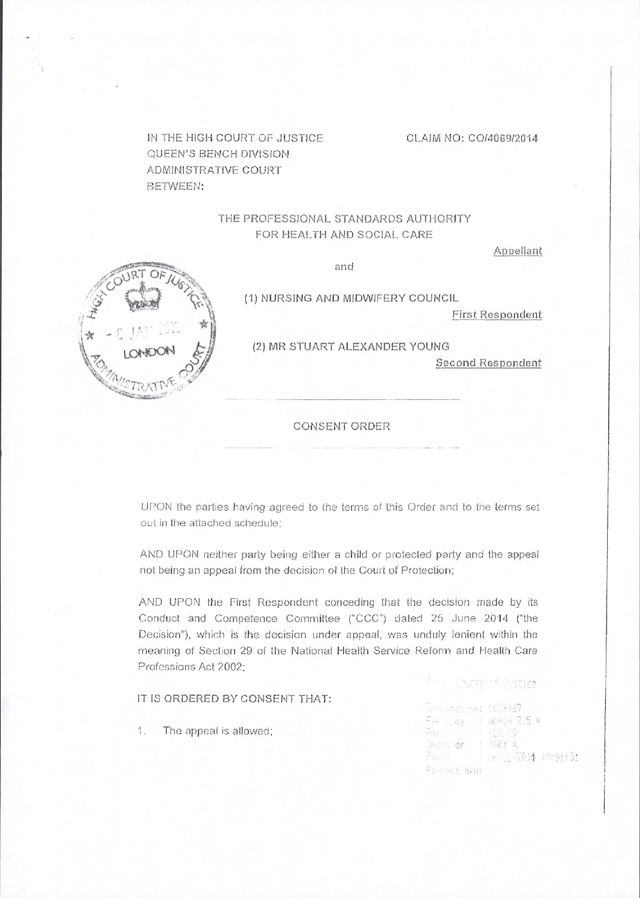IN THE HIGH COURT OF JUSTICE QUEEN'S BENCH DIVISION ADMINISTRATIVE COURT **BETWEEN:** 

#### CLAIM NO: CO/4069/2014

## THE PROFESSIONAL STANDARDS AUTHORITY FOR HEALTH AND SOCIAL CARE

Appellant



and

(1) NURSING AND MIDWIFERY COUNCIL

**First Respondent** 

(2) MR STUART ALEXANDER YOUNG

**Second Respondent** 

For Courts of Disting

Paveont Nid!

 $\tilde{\mathcal{M}}$ 

#### **CONSENT ORDER**

UPON the parties having agreed to the terms of this Order and to the terms set out in the attached schedule;

AND UPON neither party being either a child or protected party and the appeal not being an appeal from the decision of the Court of Protection;

AND UPON the First Respondent conceding that the decision made by its Conduct and Competence Committee ("CCC") dated 25 June 2014 ("the Decision"), which is the decision under appeal, was unduly lenient within the meaning of Section 29 of the National Health Service Reform and Health Care Professions Act 2002:

|    |                                |                                | The contract of the second contract of the contract of the contract of the contract of the contract of the contract of the contract of the contract of the contract of the contract of the contract of the contract of the con |
|----|--------------------------------|--------------------------------|--------------------------------------------------------------------------------------------------------------------------------------------------------------------------------------------------------------------------------|
|    | IT IS ORDERED BY CONSENT THAT: |                                |                                                                                                                                                                                                                                |
|    |                                | - Transartinet 1003467         |                                                                                                                                                                                                                                |
|    |                                | - Fee Code - - : 5的问题 2.5 4    |                                                                                                                                                                                                                                |
| 1. | The appeal is allowed:         | - Paper Collection of PSQL 001 |                                                                                                                                                                                                                                |
|    |                                | Geerghar : MARY A              |                                                                                                                                                                                                                                |
|    |                                |                                | Barnes : GA/Or/2014 t9:51:                                                                                                                                                                                                     |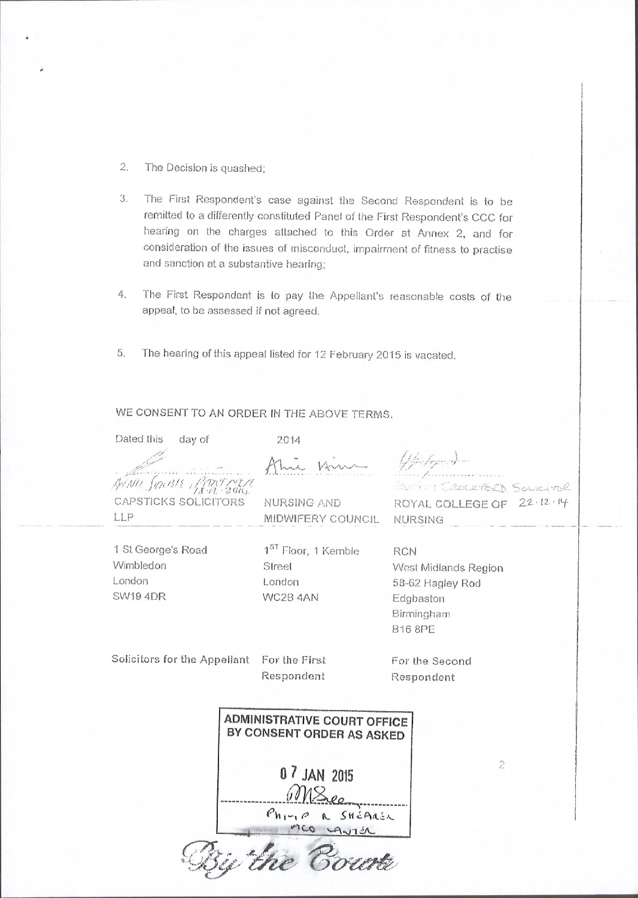- $2.$ The Decision is quashed;
- The First Respondent's case against the Second Respondent is to be 3. remitted to a differently constituted Panel of the First Respondent's CCC for hearing on the charges attached to this Order at Annex 2, and for consideration of the issues of misconduct, impairment of fitness to practise and sanction at a substantive hearing;
- The First Respondent is to pay the Appellant's reasonable costs of the 4. appeal, to be assessed if not agreed.
- 5. The hearing of this appeal listed for 12 February 2015 is vacated.

# WE CONSENT TO AN ORDER IN THE ABOVE TERMS.

| Dated this<br>day of         | 2014                                                            |                             |  |
|------------------------------|-----------------------------------------------------------------|-----------------------------|--|
|                              |                                                                 | Wedged -                    |  |
| AVAIL SOLBIE PARTNER         |                                                                 | Parting CROCKFORD SOLICITOR |  |
| <b>CAPSTICKS SOLICITORS</b>  | NURSING AND                                                     | ROYAL COLLEGE OF 22.12.14   |  |
| LLP                          | MIDWIFERY COUNCIL                                               | <b>NURSING</b>              |  |
| 1 St George's Road           | 1 <sup>ST</sup> Floor, 1 Kemble                                 | <b>RCN</b>                  |  |
| Wimbledon                    | Street                                                          | West Midlands Region        |  |
| London                       | London                                                          | 58-62 Hagley Rod            |  |
| <b>SW19 4DR</b>              | WC2B 4AN                                                        | Edgbaston                   |  |
|                              |                                                                 | Birmingham                  |  |
|                              |                                                                 | <b>B16 8PE</b>              |  |
| Solicitors for the Appellant | For the First                                                   | For the Second              |  |
|                              | Respondent                                                      | Respondent                  |  |
|                              | <b>ADMINISTRATIVE COURT OFFICE</b><br>BY CONSENT ORDER AS ASKED |                             |  |
|                              | $\overline{2}$<br>$P$ h <sub>171</sub> $\rho$ R SHEARER         |                             |  |
|                              |                                                                 |                             |  |